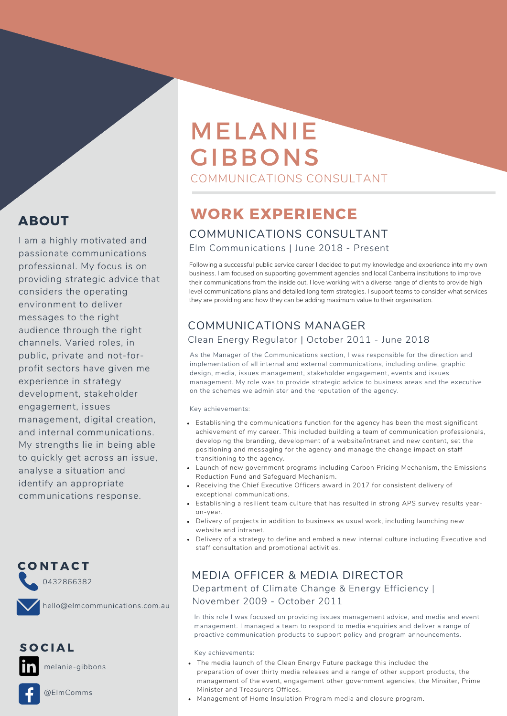# MELANIE GIBBONS COMMUNICATIONS CONSULTANT

# WORK EXPERIENCE

### COMMUNICATIONS CONSULTANT

Elm Communications | June 2018 - Present

Following a successful public service career I decided to put my knowledge and experience into my own business. I am focused on supporting government agencies and local Canberra institutions to improve their communications from the inside out. I love working with a diverse range of clients to provide high level communications plans and detailed long term strategies. I support teams to consider what services they are providing and how they can be adding maximum value to their organisation.

# COMMUNICATIONS MANAGER Clean Energy Regulator | October 2011 - June 2018

As the Manager of the Communications section, I was responsible for the direction and implementation of all internal and external communications, including online, graphic design, media, issues management, stakeholder engagement, events and issues management. My role was to provide strategic advice to business areas and the executive on the schemes we administer and the reputation of the agency.

Key achievements:

- Establishing the communications function for the agency has been the most significant achievement of my career. This included building a team of communication professionals, developing the branding, development of a website/intranet and new content, set the positioning and messaging for the agency and manage the change impact on staff transitioning to the agency.
- Launch of new government programs including Carbon Pricing Mechanism, the Emissions Reduction Fund and Safeguard Mechanism.
- Receiving the Chief Executive Officers award in 2017 for consistent delivery of exceptional communications.
- Establishing a resilient team culture that has resulted in strong APS survey results yearon-year.
- Delivery of projects in addition to business as usual work, including launching new website and intranet.
- Delivery of a strategy to define and embed a new internal culture including Executive and staff consultation and promotional activities.

# MEDIA OFFICER & MEDIA DIRECTOR

Department of Climate Change & Energy Efficiency | November 2009 - October 2011

In this role I was focused on providing issues management advice, and media and event management. I managed a team to respond to media enquiries and deliver a range of proactive communication products to support policy and program announcements.

Key achievements:

- The media launch of the Clean Energy Future package this included the preparation of over thirty media releases and a range of other support products, the management of the event, engagement other government agencies, the Minsiter, Prime Minister and Treasurers Offices.
- Management of Home Insulation Program media and closure program.

# ABOUT

I am a highly motivated and passionate communications professional. My focus is on providing strategic advice that considers the operating environment to deliver messages to the right audience through the right channels. Varied roles, in public, private and not-forprofit sectors have given me experience in strategy development, stakeholder engagement, issues management, digital creation, and internal communications. My strengths lie in being able to quickly get across an issue, analyse a situation and identify an appropriate communications response.



hello@elmcommunications.com.au

S O C I A L

melanie-gibbons

@ElmComms